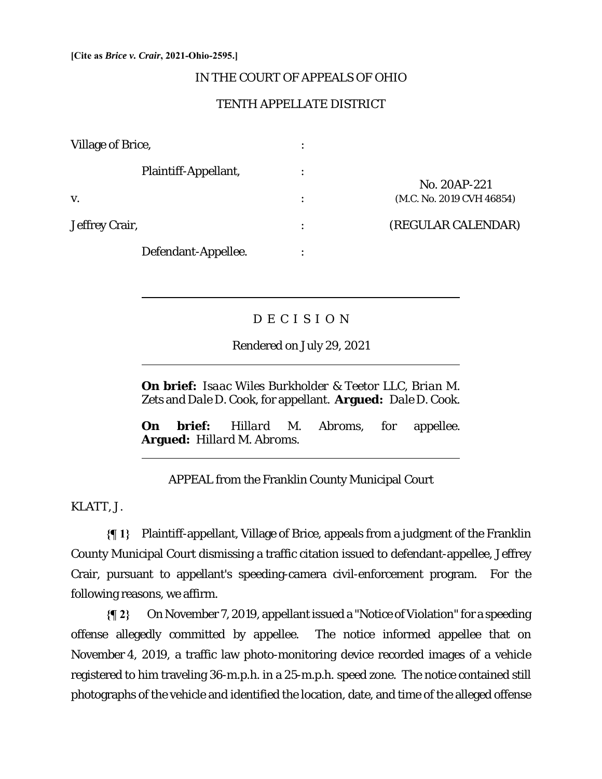#### **[Cite as** *Brice v. Crair***, 2021-Ohio-2595.]**

 $\overline{a}$ 

 $\overline{a}$ 

l

### IN THE COURT OF APPEALS OF OHIO

## TENTH APPELLATE DISTRICT

| Village of Brice,    | $\bullet$      |                           |
|----------------------|----------------|---------------------------|
| Plaintiff-Appellant, | $\bullet$      |                           |
|                      |                | No. 20AP-221              |
| V.                   | $\ddot{\cdot}$ | (M.C. No. 2019 CVH 46854) |
| Jeffrey Crair,       | $\ddot{\cdot}$ | (REGULAR CALENDAR)        |
| Defendant-Appellee.  |                |                           |

# D E C I S I O N

Rendered on July 29, 2021

**On brief:** *Isaac Wiles Burkholder & Teetor LLC*, *Brian M. Zets* and *Dale D. Cook*, for appellant. **Argued:** *Dale D. Cook*.

**On brief:** *Hillard M. Abroms*, for appellee. **Argued:** *Hillard M. Abroms*.

APPEAL from the Franklin County Municipal Court

KLATT, J.

**{¶ 1}** Plaintiff-appellant, Village of Brice, appeals from a judgment of the Franklin County Municipal Court dismissing a traffic citation issued to defendant-appellee, Jeffrey Crair, pursuant to appellant's speeding-camera civil-enforcement program. For the following reasons, we affirm.

**{¶ 2}** On November 7, 2019, appellant issued a "Notice of Violation" for a speeding offense allegedly committed by appellee. The notice informed appellee that on November 4, 2019, a traffic law photo-monitoring device recorded images of a vehicle registered to him traveling 36-m.p.h. in a 25-m.p.h. speed zone. The notice contained still photographs of the vehicle and identified the location, date, and time of the alleged offense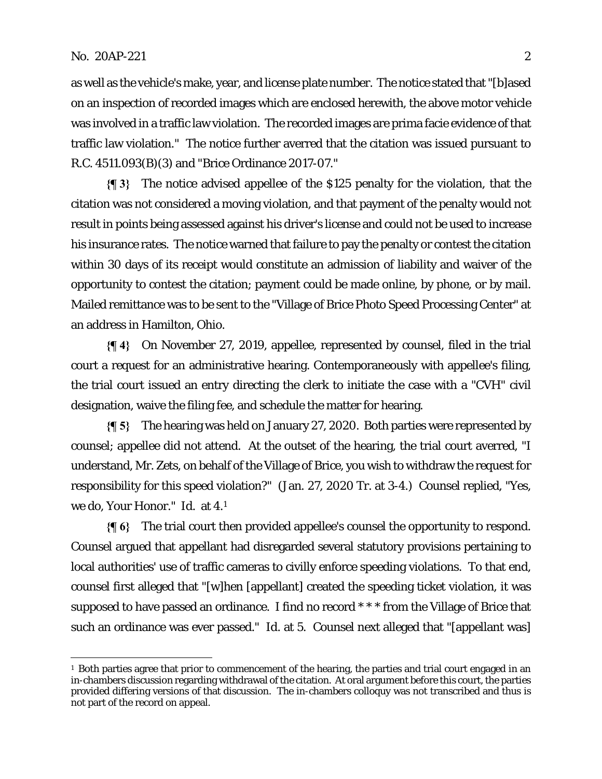as well as the vehicle's make, year, and license plate number. The notice stated that "[b]ased on an inspection of recorded images which are enclosed herewith, the above motor vehicle was involved in a traffic law violation. The recorded images are prima facie evidence of that traffic law violation." The notice further averred that the citation was issued pursuant to R.C. 4511.093(B)(3) and "Brice Ordinance 2017-07."

**{¶ 3}** The notice advised appellee of the \$125 penalty for the violation, that the citation was not considered a moving violation, and that payment of the penalty would not result in points being assessed against his driver's license and could not be used to increase his insurance rates. The notice warned that failure to pay the penalty or contest the citation within 30 days of its receipt would constitute an admission of liability and waiver of the opportunity to contest the citation; payment could be made online, by phone, or by mail. Mailed remittance was to be sent to the "Village of Brice Photo Speed Processing Center" at an address in Hamilton, Ohio.

**{¶ 4}** On November 27, 2019, appellee, represented by counsel, filed in the trial court a request for an administrative hearing. Contemporaneously with appellee's filing, the trial court issued an entry directing the clerk to initiate the case with a "CVH" civil designation, waive the filing fee, and schedule the matter for hearing.

**{¶ 5}** The hearing was held on January 27, 2020. Both parties were represented by counsel; appellee did not attend. At the outset of the hearing, the trial court averred, "I understand, Mr. Zets, on behalf of the Village of Brice, you wish to withdraw the request for responsibility for this speed violation?" (Jan. 27, 2020 Tr. at 3-4.) Counsel replied, "Yes, we do, Your Honor." *Id.* at 4.1

**{¶ 6}** The trial court then provided appellee's counsel the opportunity to respond. Counsel argued that appellant had disregarded several statutory provisions pertaining to local authorities' use of traffic cameras to civilly enforce speeding violations. To that end, counsel first alleged that "[w]hen [appellant] created the speeding ticket violation, it was supposed to have passed an ordinance. I find no record \*\*\* from the Village of Brice that such an ordinance was ever passed." *Id.* at 5. Counsel next alleged that "[appellant was]

<sup>1</sup> Both parties agree that prior to commencement of the hearing, the parties and trial court engaged in an in-chambers discussion regarding withdrawal of the citation. At oral argument before this court, the parties provided differing versions of that discussion. The in-chambers colloquy was not transcribed and thus is not part of the record on appeal.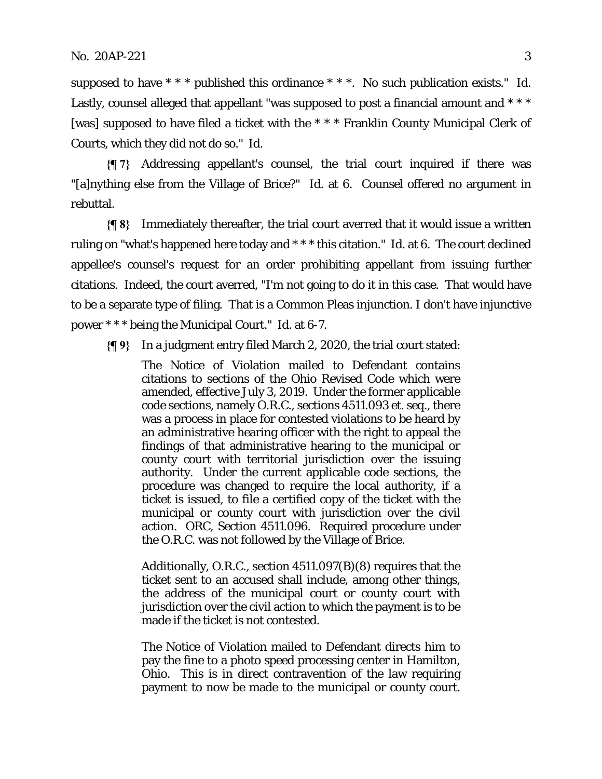supposed to have \* \* \* published this ordinance \* \* \*. No such publication exists." *Id.*  Lastly, counsel alleged that appellant "was supposed to post a financial amount and  $***$ [was] supposed to have filed a ticket with the \* \* \* Franklin County Municipal Clerk of Courts, which they did not do so." *Id*.

**{¶ 7}** Addressing appellant's counsel, the trial court inquired if there was "[a]nything else from the Village of Brice?" *Id.* at 6. Counsel offered no argument in rebuttal.

**{¶ 8}** Immediately thereafter, the trial court averred that it would issue a written ruling on "what's happened here today and \* \* \* this citation." *Id.* at 6. The court declined appellee's counsel's request for an order prohibiting appellant from issuing further citations. Indeed, the court averred, "I'm not going to do it in this case. That would have to be a separate type of filing. That is a Common Pleas injunction. I don't have injunctive power \* \* \* being the Municipal Court." *Id.* at 6-7.

**{¶ 9}** In a judgment entry filed March 2, 2020, the trial court stated:

The Notice of Violation mailed to Defendant contains citations to sections of the Ohio Revised Code which were amended, effective July 3, 2019. Under the former applicable code sections, namely O.R.C., sections 4511.093 *et. seq.*, there was a process in place for contested violations to be heard by an administrative hearing officer with the right to appeal the findings of that administrative hearing to the municipal or county court with territorial jurisdiction over the issuing authority. Under the current applicable code sections, the procedure was changed to require the local authority, if a ticket is issued, to file a certified copy of the ticket with the municipal or county court with jurisdiction over the civil action. ORC, Section 4511.096. Required procedure under the O.R.C. was not followed by the Village of Brice.

Additionally, O.R.C., section 4511.097(B)(8) requires that the ticket sent to an accused shall include, among other things, the address of the municipal court or county court with jurisdiction over the civil action to which the payment is to be made if the ticket is not contested.

The Notice of Violation mailed to Defendant directs him to pay the fine to a photo speed processing center in Hamilton, Ohio. This is in direct contravention of the law requiring payment to now be made to the municipal or county court.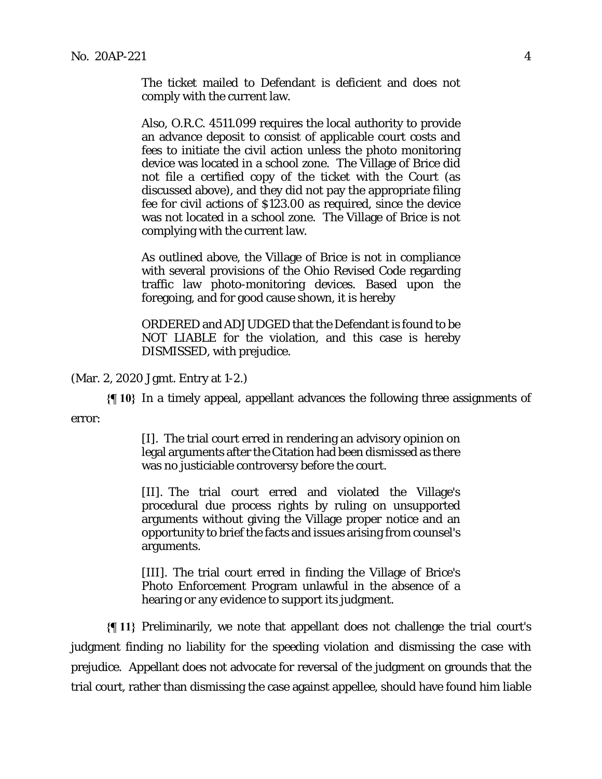The ticket mailed to Defendant is deficient and does not comply with the current law.

Also, O.R.C. 4511.099 requires the local authority to provide an advance deposit to consist of applicable court costs and fees to initiate the civil action unless the photo monitoring device was located in a school zone. The Village of Brice did not file a certified copy of the ticket with the Court (as discussed above), and they did not pay the appropriate filing fee for civil actions of \$123.00 as required, since the device was not located in a school zone. The Village of Brice is not complying with the current law.

As outlined above, the Village of Brice is not in compliance with several provisions of the Ohio Revised Code regarding traffic law photo-monitoring devices. Based upon the foregoing, and for good cause shown, it is hereby

ORDERED and ADJUDGED that the Defendant is found to be NOT LIABLE for the violation, and this case is hereby DISMISSED, with prejudice.

(Mar. 2, 2020 Jgmt. Entry at 1-2.)

**{¶ 10}** In a timely appeal, appellant advances the following three assignments of error:

> [I]. The trial court erred in rendering an advisory opinion on legal arguments after the Citation had been dismissed as there was no justiciable controversy before the court.

[II]. The trial court erred and violated the Village's procedural due process rights by ruling on unsupported arguments without giving the Village proper notice and an opportunity to brief the facts and issues arising from counsel's arguments.

[III]. The trial court erred in finding the Village of Brice's Photo Enforcement Program unlawful in the absence of a hearing or any evidence to support its judgment.

**{¶ 11}** Preliminarily, we note that appellant does not challenge the trial court's judgment finding no liability for the speeding violation and dismissing the case with prejudice. Appellant does not advocate for reversal of the judgment on grounds that the trial court, rather than dismissing the case against appellee, should have found him liable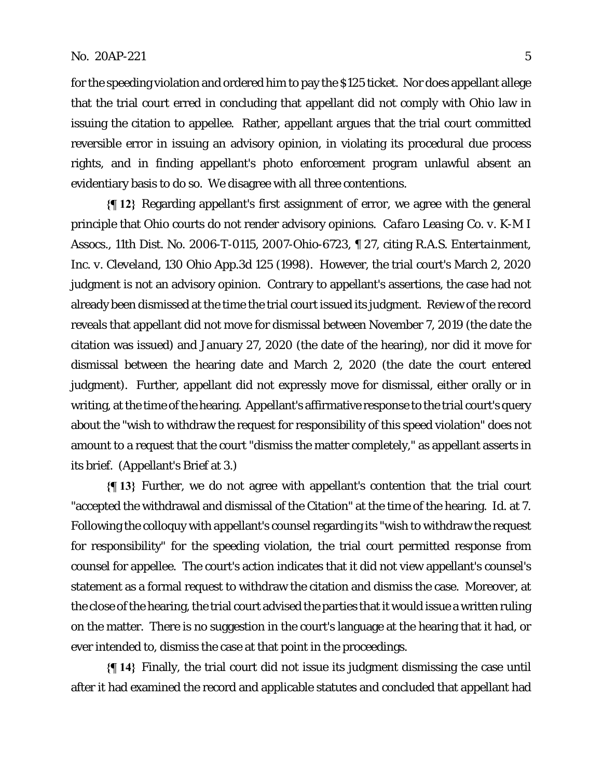for the speeding violation and ordered him to pay the \$125 ticket. Nor does appellant allege that the trial court erred in concluding that appellant did not comply with Ohio law in issuing the citation to appellee. Rather, appellant argues that the trial court committed reversible error in issuing an advisory opinion, in violating its procedural due process rights, and in finding appellant's photo enforcement program unlawful absent an evidentiary basis to do so. We disagree with all three contentions.

**{¶ 12}** Regarding appellant's first assignment of error, we agree with the general principle that Ohio courts do not render advisory opinions. *Cafaro Leasing Co. v. K-M I Assocs.*, 11th Dist. No. 2006-T-0115, 2007-Ohio-6723, ¶ 27, citing *R.A.S. Entertainment, Inc. v. Cleveland*, 130 Ohio App.3d 125 (1998). However, the trial court's March 2, 2020 judgment is not an advisory opinion. Contrary to appellant's assertions, the case had not already been dismissed at the time the trial court issued its judgment. Review of the record reveals that appellant did not move for dismissal between November 7, 2019 (the date the citation was issued) and January 27, 2020 (the date of the hearing), nor did it move for dismissal between the hearing date and March 2, 2020 (the date the court entered judgment). Further, appellant did not expressly move for dismissal, either orally or in writing, at the time of the hearing. Appellant's affirmative response to the trial court's query about the "wish to withdraw the request for responsibility of this speed violation" does not amount to a request that the court "dismiss the matter completely," as appellant asserts in its brief. (Appellant's Brief at 3.)

**{¶ 13}** Further, we do not agree with appellant's contention that the trial court "accepted the withdrawal and dismissal of the Citation" at the time of the hearing. *Id.* at 7. Following the colloquy with appellant's counsel regarding its "wish to withdraw the request for responsibility" for the speeding violation, the trial court permitted response from counsel for appellee. The court's action indicates that it did not view appellant's counsel's statement as a formal request to withdraw the citation and dismiss the case. Moreover, at the close of the hearing, the trial court advised the parties that it would issue a written ruling on the matter. There is no suggestion in the court's language at the hearing that it had, or ever intended to, dismiss the case at that point in the proceedings.

**{¶ 14}** Finally, the trial court did not issue its judgment dismissing the case until after it had examined the record and applicable statutes and concluded that appellant had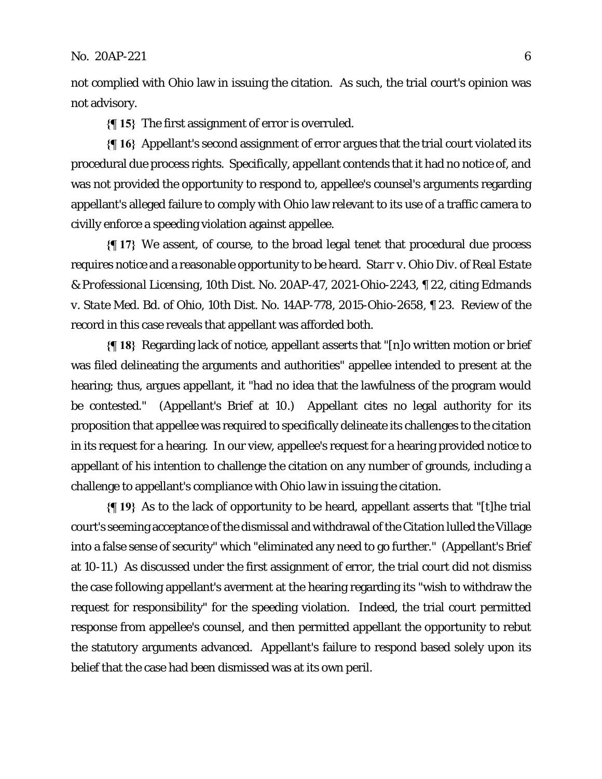not complied with Ohio law in issuing the citation. As such, the trial court's opinion was not advisory.

**{¶ 15}** The first assignment of error is overruled.

**{¶ 16}** Appellant's second assignment of error argues that the trial court violated its procedural due process rights. Specifically, appellant contends that it had no notice of, and was not provided the opportunity to respond to, appellee's counsel's arguments regarding appellant's alleged failure to comply with Ohio law relevant to its use of a traffic camera to civilly enforce a speeding violation against appellee.

**{¶ 17}** We assent, of course, to the broad legal tenet that procedural due process requires notice and a reasonable opportunity to be heard. *Starr v. Ohio Div. of Real Estate & Professional Licensing*, 10th Dist. No. 20AP-47, 2021-Ohio-2243, ¶ 22, citing *Edmands v. State Med. Bd. of Ohio*, 10th Dist. No. 14AP-778, 2015-Ohio-2658, ¶ 23. Review of the record in this case reveals that appellant was afforded both.

**{¶ 18}** Regarding lack of notice, appellant asserts that "[n]o written motion or brief was filed delineating the arguments and authorities" appellee intended to present at the hearing; thus, argues appellant, it "had no idea that the lawfulness of the program would be contested." (Appellant's Brief at 10.) Appellant cites no legal authority for its proposition that appellee was required to specifically delineate its challenges to the citation in its request for a hearing. In our view, appellee's request for a hearing provided notice to appellant of his intention to challenge the citation on any number of grounds, including a challenge to appellant's compliance with Ohio law in issuing the citation.

**{¶ 19}** As to the lack of opportunity to be heard, appellant asserts that "[t]he trial court's seeming acceptance of the dismissal and withdrawal of the Citation lulled the Village into a false sense of security" which "eliminated any need to go further." (Appellant's Brief at 10-11.) As discussed under the first assignment of error, the trial court did not dismiss the case following appellant's averment at the hearing regarding its "wish to withdraw the request for responsibility" for the speeding violation. Indeed, the trial court permitted response from appellee's counsel, and then permitted appellant the opportunity to rebut the statutory arguments advanced. Appellant's failure to respond based solely upon its belief that the case had been dismissed was at its own peril.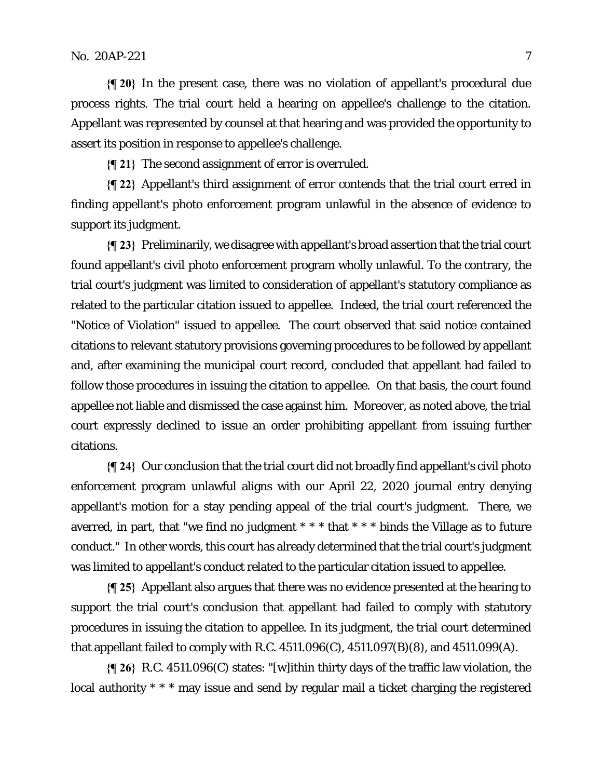### $\text{No. } 20 \text{AP} - 221$   $\text{7}$

**{¶ 20}** In the present case, there was no violation of appellant's procedural due process rights. The trial court held a hearing on appellee's challenge to the citation. Appellant was represented by counsel at that hearing and was provided the opportunity to assert its position in response to appellee's challenge.

**{¶ 21}** The second assignment of error is overruled.

**{¶ 22}** Appellant's third assignment of error contends that the trial court erred in finding appellant's photo enforcement program unlawful in the absence of evidence to support its judgment.

**{¶ 23}** Preliminarily, we disagree with appellant's broad assertion that the trial court found appellant's civil photo enforcement program wholly unlawful. To the contrary, the trial court's judgment was limited to consideration of appellant's statutory compliance as related to the particular citation issued to appellee. Indeed, the trial court referenced the "Notice of Violation" issued to appellee. The court observed that said notice contained citations to relevant statutory provisions governing procedures to be followed by appellant and, after examining the municipal court record, concluded that appellant had failed to follow those procedures in issuing the citation to appellee. On that basis, the court found appellee not liable and dismissed the case against him. Moreover, as noted above, the trial court expressly declined to issue an order prohibiting appellant from issuing further citations.

**{¶ 24}** Our conclusion that the trial court did not broadly find appellant's civil photo enforcement program unlawful aligns with our April 22, 2020 journal entry denying appellant's motion for a stay pending appeal of the trial court's judgment. There, we averred, in part, that "we find no judgment  $* * *$  that  $* * *$  binds the Village as to future conduct." In other words, this court has already determined that the trial court's judgment was limited to appellant's conduct related to the particular citation issued to appellee.

**{¶ 25}** Appellant also argues that there was no evidence presented at the hearing to support the trial court's conclusion that appellant had failed to comply with statutory procedures in issuing the citation to appellee. In its judgment, the trial court determined that appellant failed to comply with R.C. 4511.096(C), 4511.097(B)(8), and 4511.099(A).

**{¶ 26}** R.C. 4511.096(C) states: "[w]ithin thirty days of the traffic law violation, the local authority \* \* \* may issue and send by regular mail a ticket charging the registered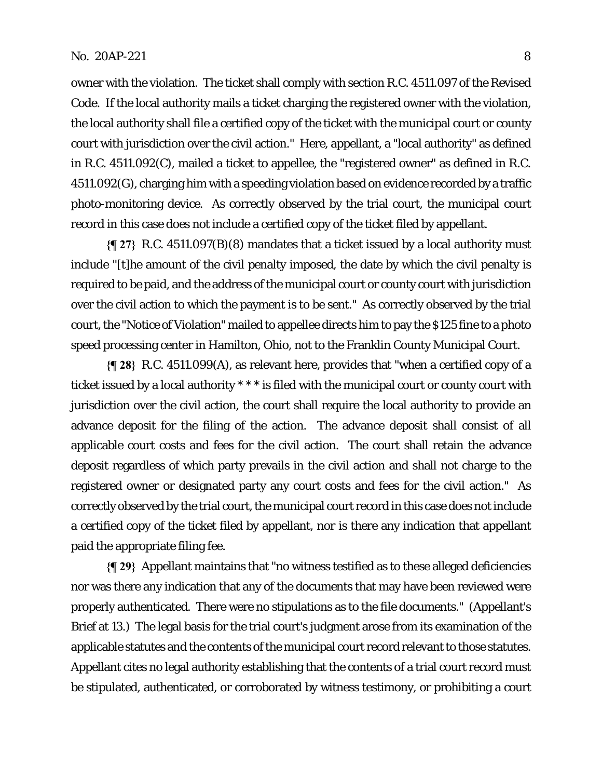owner with the violation. The ticket shall comply with section R.C. 4511.097 of the Revised Code. If the local authority mails a ticket charging the registered owner with the violation, the local authority shall file a certified copy of the ticket with the municipal court or county court with jurisdiction over the civil action." Here, appellant, a "local authority" as defined in R.C. 4511.092(C), mailed a ticket to appellee, the "registered owner" as defined in R.C. 4511.092(G), charging him with a speeding violation based on evidence recorded by a traffic photo-monitoring device. As correctly observed by the trial court, the municipal court record in this case does not include a certified copy of the ticket filed by appellant.

**{¶ 27}** R.C. 4511.097(B)(8) mandates that a ticket issued by a local authority must include "[t]he amount of the civil penalty imposed, the date by which the civil penalty is required to be paid, and the address of the municipal court or county court with jurisdiction over the civil action to which the payment is to be sent." As correctly observed by the trial court, the "Notice of Violation" mailed to appellee directs him to pay the \$125 fine to a photo speed processing center in Hamilton, Ohio, not to the Franklin County Municipal Court.

**{¶ 28}** R.C. 4511.099(A), as relevant here, provides that "when a certified copy of a ticket issued by a local authority \* \* \* is filed with the municipal court or county court with jurisdiction over the civil action, the court shall require the local authority to provide an advance deposit for the filing of the action. The advance deposit shall consist of all applicable court costs and fees for the civil action. The court shall retain the advance deposit regardless of which party prevails in the civil action and shall not charge to the registered owner or designated party any court costs and fees for the civil action." As correctly observed by the trial court, the municipal court record in this case does not include a certified copy of the ticket filed by appellant, nor is there any indication that appellant paid the appropriate filing fee.

**{¶ 29}** Appellant maintains that "no witness testified as to these alleged deficiencies nor was there any indication that any of the documents that may have been reviewed were properly authenticated. There were no stipulations as to the file documents." (Appellant's Brief at 13.) The legal basis for the trial court's judgment arose from its examination of the applicable statutes and the contents of the municipal court record relevant to those statutes. Appellant cites no legal authority establishing that the contents of a trial court record must be stipulated, authenticated, or corroborated by witness testimony, or prohibiting a court